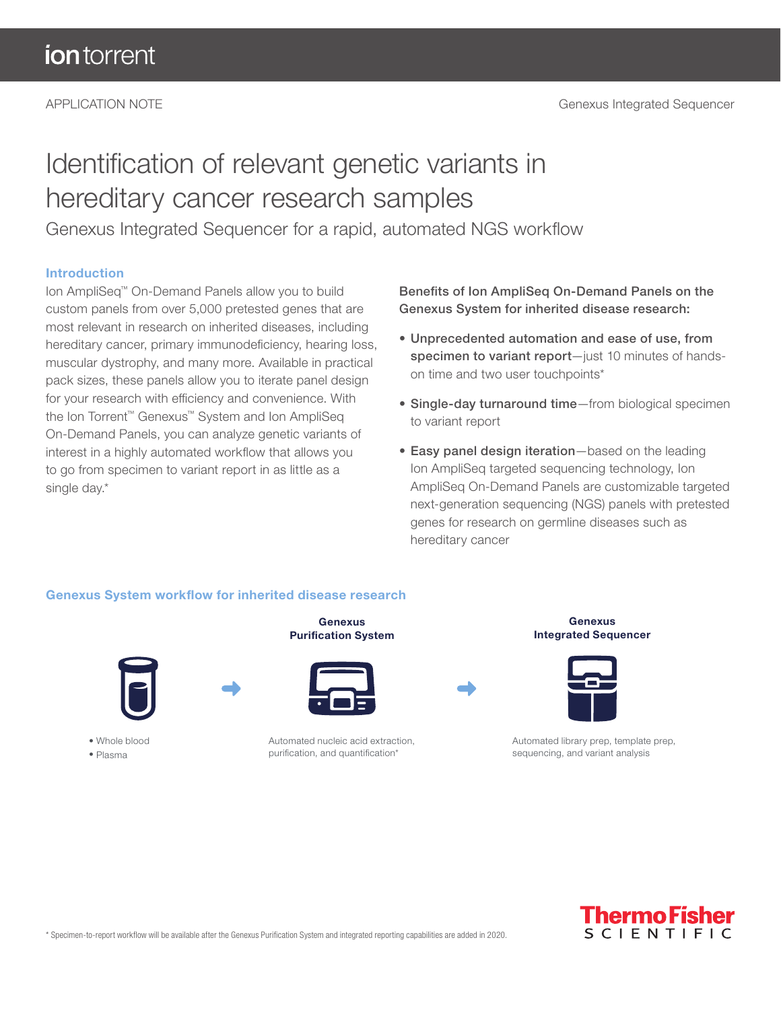# Identification of relevant genetic variants in hereditary cancer research samples

Genexus Integrated Sequencer for a rapid, automated NGS workflow

#### Introduction

Ion AmpliSeq™ On-Demand Panels allow you to build custom panels from over 5,000 pretested genes that are most relevant in research on inherited diseases, including hereditary cancer, primary immunodeficiency, hearing loss, muscular dystrophy, and many more. Available in practical pack sizes, these panels allow you to iterate panel design for your research with efficiency and convenience. With the Ion Torrent™ Genexus™ System and Ion AmpliSeq On-Demand Panels, you can analyze genetic variants of interest in a highly automated workflow that allows you to go from specimen to variant report in as little as a single day.\*

Benefits of Ion AmpliSeq On-Demand Panels on the Genexus System for inherited disease research:

- Unprecedented automation and ease of use, from specimen to variant report-just 10 minutes of handson time and two user touchpoints\*
- Single-day turnaround time—from biological specimen to variant report
- Easy panel design iteration—based on the leading Ion AmpliSeq targeted sequencing technology, Ion AmpliSeq On-Demand Panels are customizable targeted next-generation sequencing (NGS) panels with pretested genes for research on germline diseases such as hereditary cancer

#### Genexus System workflow for inherited disease research



• Whole blood • Plasma





Automated nucleic acid extraction, purification, and quantification\*





Genexus Integrated Sequencer

Automated library prep, template prep, sequencing, and variant analysis



\* Specimen-to-report workflow will be available after the Genexus Purification System and integrated reporting capabilities are added in 2020.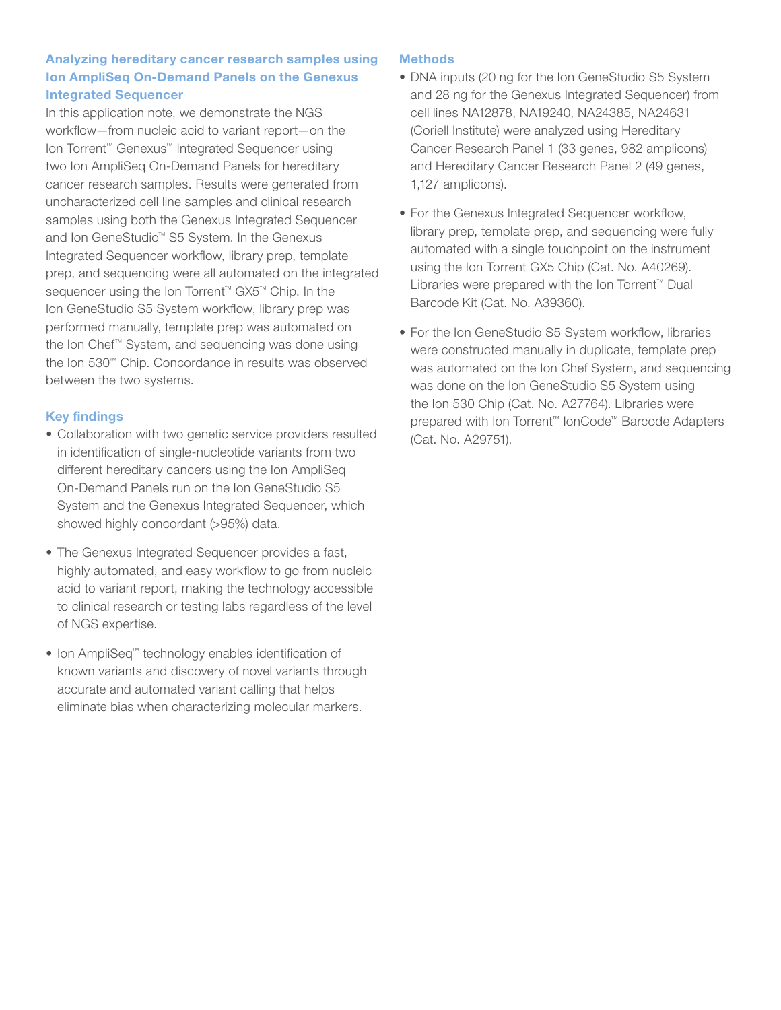# Analyzing hereditary cancer research samples using Ion AmpliSeq On-Demand Panels on the Genexus Integrated Sequencer

In this application note, we demonstrate the NGS workflow—from nucleic acid to variant report—on the Ion Torrent™ Genexus™ Integrated Sequencer using two Ion AmpliSeq On-Demand Panels for hereditary cancer research samples. Results were generated from uncharacterized cell line samples and clinical research samples using both the Genexus Integrated Sequencer and Ion GeneStudio™ S5 System. In the Genexus Integrated Sequencer workflow, library prep, template prep, and sequencing were all automated on the integrated sequencer using the Ion Torrent™ GX5™ Chip. In the Ion GeneStudio S5 System workflow, library prep was performed manually, template prep was automated on the Ion Chef™ System, and sequencing was done using the Ion 530™ Chip. Concordance in results was observed between the two systems.

# Key findings

- Collaboration with two genetic service providers resulted in identification of single-nucleotide variants from two different hereditary cancers using the Ion AmpliSeq On-Demand Panels run on the Ion GeneStudio S5 System and the Genexus Integrated Sequencer, which showed highly concordant (>95%) data.
- The Genexus Integrated Sequencer provides a fast, highly automated, and easy workflow to go from nucleic acid to variant report, making the technology accessible to clinical research or testing labs regardless of the level of NGS expertise.
- Ion AmpliSeq™ technology enables identification of known variants and discovery of novel variants through accurate and automated variant calling that helps eliminate bias when characterizing molecular markers.

# **Methods**

- DNA inputs (20 ng for the Ion GeneStudio S5 System and 28 ng for the Genexus Integrated Sequencer) from cell lines NA12878, NA19240, NA24385, NA24631 (Coriell Institute) were analyzed using Hereditary Cancer Research Panel 1 (33 genes, 982 amplicons) and Hereditary Cancer Research Panel 2 (49 genes, 1,127 amplicons).
- For the Genexus Integrated Sequencer workflow, library prep, template prep, and sequencing were fully automated with a single touchpoint on the instrument using the Ion Torrent GX5 Chip (Cat. No. A40269). Libraries were prepared with the Ion Torrent™ Dual Barcode Kit (Cat. No. A39360).
- For the Ion GeneStudio S5 System workflow, libraries were constructed manually in duplicate, template prep was automated on the Ion Chef System, and sequencing was done on the Ion GeneStudio S5 System using the Ion 530 Chip (Cat. No. A27764). Libraries were prepared with Ion Torrent™ IonCode™ Barcode Adapters (Cat. No. A29751).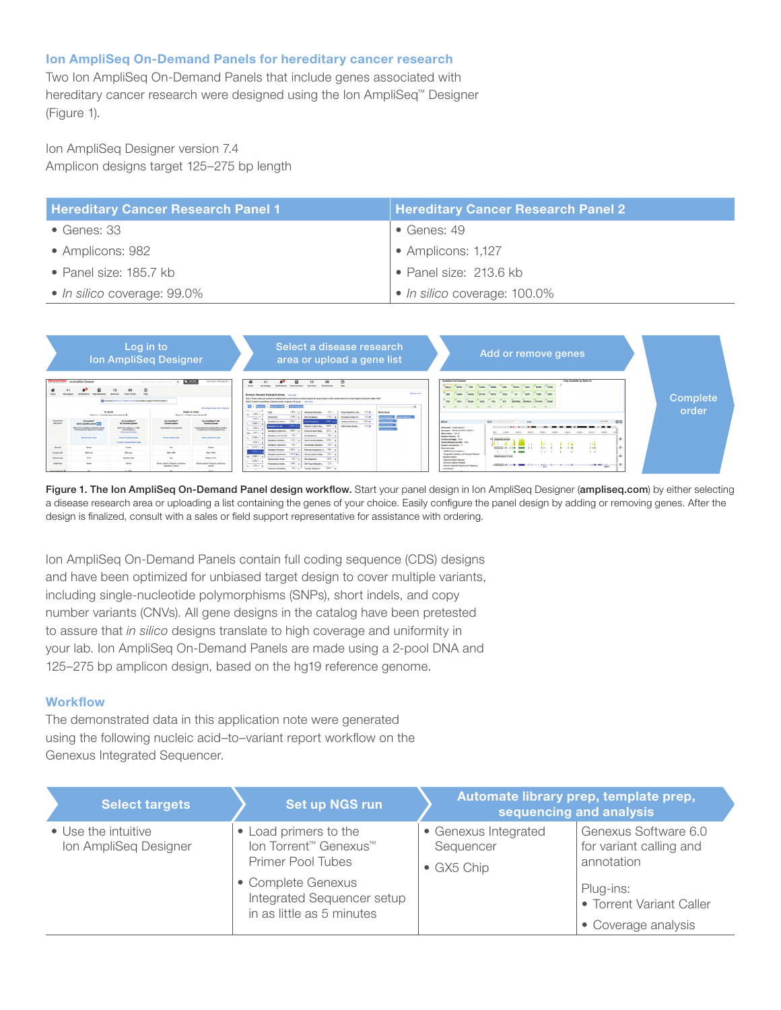#### Ion AmpliSeq On-Demand Panels for hereditary cancer research

Two Ion AmpliSeq On-Demand Panels that include genes associated with hereditary cancer research were designed using the Ion AmpliSeq™ Designer (Figure 1).

Ion AmpliSeq Designer version 7.4 Amplicon designs target 125–275 bp length

| <b>Hereditary Cancer Research Panel 1</b> | <b>Hereditary Cancer Research Panel 2</b> |
|-------------------------------------------|-------------------------------------------|
| $\bullet$ Genes: 33                       | $\bullet$ Genes: 49                       |
| • Amplicons: 982                          | • Amplicons: 1,127                        |
| • Panel size: $185.7$ kb                  | • Panel size: 213.6 kb                    |
| • In silico coverage: 99.0%               | • In silico coverage: 100.0%              |



Figure 1. The Ion AmpliSeq On-Demand Panel design workflow. Start your panel design in Ion AmpliSeq Designer (ampliseq.com) by either selecting a disease research area or uploading a list containing the genes of your choice. Easily configure the panel design by adding or removing genes. After the design is finalized, consult with a sales or field support representative for assistance with ordering.

Ion AmpliSeq On-Demand Panels contain full coding sequence (CDS) designs and have been optimized for unbiased target design to cover multiple variants, including single-nucleotide polymorphisms (SNPs), short indels, and copy number variants (CNVs). All gene designs in the catalog have been pretested to assure that *in silico* designs translate to high coverage and uniformity in your lab. Ion AmpliSeq On-Demand Panels are made using a 2-pool DNA and 125–275 bp amplicon design, based on the hg19 reference genome.

#### **Workflow**

The demonstrated data in this application note were generated using the following nucleic acid-to-variant report workflow on the Genexus Integrated Sequencer.

| <b>Select targets</b>                        | Set up NGS run                                                                | Automate library prep, template prep,<br>sequencing and analysis |                                                               |  |
|----------------------------------------------|-------------------------------------------------------------------------------|------------------------------------------------------------------|---------------------------------------------------------------|--|
| • Use the intuitive<br>Ion AmpliSeq Designer | • Load primers to the<br>Ion Torrent™ Genexus™<br>Primer Pool Tubes           | • Genexus Integrated<br>Sequencer<br>$\bullet$ GX5 Chip          | Genexus Software 6.0<br>for variant calling and<br>annotation |  |
|                                              | • Complete Genexus<br>Integrated Sequencer setup<br>in as little as 5 minutes |                                                                  | Plug-ins:<br>• Torrent Variant Caller<br>• Coverage analysis  |  |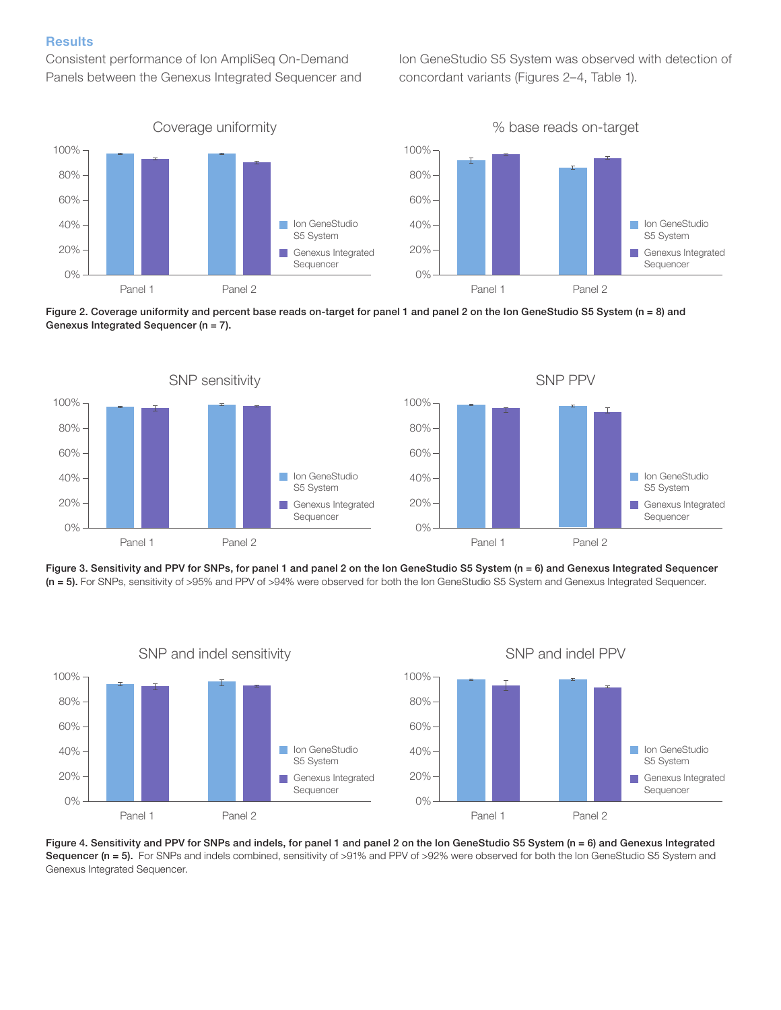#### **Results**

Consistent performance of Ion AmpliSeq On-Demand Panels between the Genexus Integrated Sequencer and Ion GeneStudio S5 System was observed with detection of concordant variants (Figures 2–4, Table 1).











Figure 4. Sensitivity and PPV for SNPs and indels, for panel 1 and panel 2 on the Ion GeneStudio S5 System (n = 6) and Genexus Integrated Sequencer (n = 5). For SNPs and indels combined, sensitivity of >91% and PPV of >92% were observed for both the Ion GeneStudio S5 System and Genexus Integrated Sequencer.